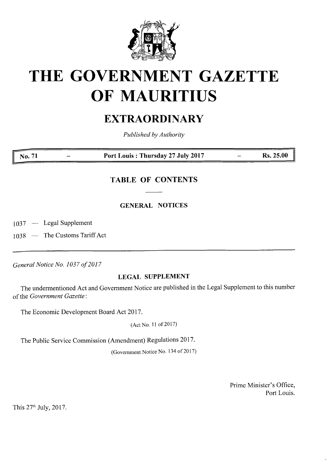

# **THE GOVERNMENT GAZETTE OF MAURITIUS**

# **EXTRAORDINARY**

*Published byAuthority*

**No. <sup>71</sup> - Port Louis : Thursday <sup>27</sup> July <sup>2017</sup> — Rs. 25.00**

# **TABLE OF CONTENTS**

**GENERAL NOTICES**

1037 — Legal Supplement

1038 — The Customs Tariff Act

*General Notice No. 1037 of2017*

## **LEGAL SUPPLEMENT**

The undermentioned Act and Government Notice are published in the Legal Supplement to this number of the *Government Gazette*:

The Economic Development Board Act 2017.

(Act No. <sup>11</sup> of 2017)

The Public Service Commission (Amendment) Regulations 2017.

(Government Notice No. 134 of 2017)

Prime Minister's Office, Port Louis.

This 27th July, 2017.